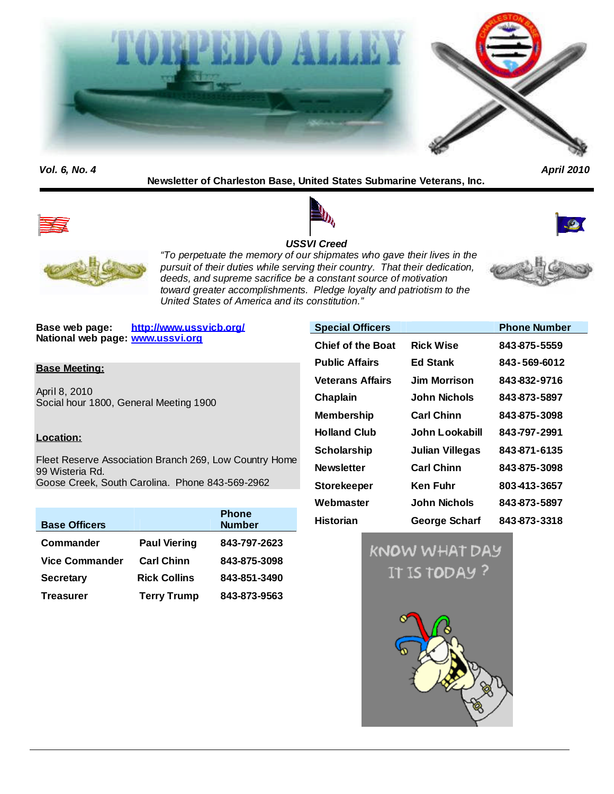

*Vol. 6, No. 4 April 2010*

## **Newsletter of Charleston Base, United States Submarine Veterans, Inc.**









*"To perpetuate the memory of our shipmates who gave their lives in the pursuit of their duties while serving their country. That their dedication, deeds, and supreme sacrifice be a constant source of motivation toward greater accomplishments. Pledge loyalty and patriotism to the United States of America and its constitution."*

**Base web page: http://www.ussvicb.org/ National web page: www.ussvi.org**

### **Base Meeting:**

April 8, 2010 Social hour 1800, General Meeting 1900

## **Location:**

Fleet Reserve Association Branch 269, Low Country Home 99 Wisteria Rd. Goose Creek, South Carolina. Phone 843-569-2962

| <b>Base Officers</b>  |                     | <b>Phone</b><br><b>Number</b> |
|-----------------------|---------------------|-------------------------------|
| Commander             | <b>Paul Viering</b> | 843-797-2623                  |
| <b>Vice Commander</b> | <b>Carl Chinn</b>   | 843-875-3098                  |
| <b>Secretary</b>      | <b>Rick Collins</b> | 843-851-3490                  |
| <b>Treasurer</b>      | <b>Terry Trump</b>  | 843-873-9563                  |

| <b>Special Officers</b>  |                   | <b>Phone Number</b> |
|--------------------------|-------------------|---------------------|
| <b>Chief of the Boat</b> | <b>Rick Wise</b>  | 843-875-5559        |
| <b>Public Affairs</b>    | <b>Ed Stank</b>   | 843-569-6012        |
| <b>Veterans Affairs</b>  | Jim Morrison.     | 843-832-9716        |
| Chaplain                 | John Nichols      | 843-873-5897        |
| <b>Membership</b>        | <b>Carl Chinn</b> | 843-875-3098        |
| <b>Holland Club</b>      | John Lookabill    | 843-797-2991        |
| <b>Scholarship</b>       | Julian Villegas   | 843-871-6135        |
| <b>Newsletter</b>        | <b>Carl Chinn</b> | 843-875-3098        |
| <b>Storekeeper</b>       | Ken Fuhr          | 803-413-3657        |
| Webmaster                | John Nichols      | 843-873-5897        |
| <b>Historian</b>         | George Scharf     | 843-873-3318        |

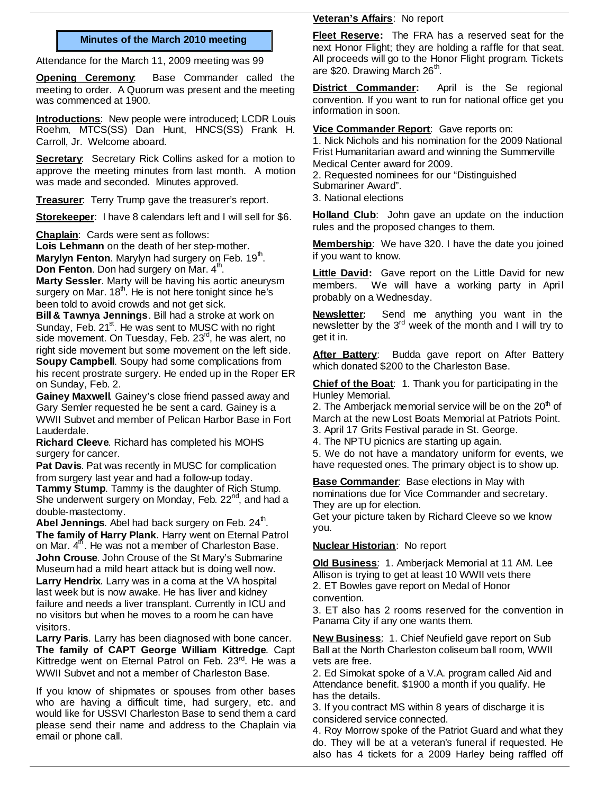### **Minutes of the March 2010 meeting**

Attendance for the March 11, 2009 meeting was 99

**Opening Ceremony**: Base Commander called the meeting to order. A Quorum was present and the meeting was commenced at 1900.

**Introductions**: New people were introduced; LCDR Louis Roehm, MTCS(SS) Dan Hunt, HNCS(SS) Frank H. Carroll, Jr. Welcome aboard.

**Secretary:** Secretary Rick Collins asked for a motion to approve the meeting minutes from last month. A motion was made and seconded. Minutes approved.

**Treasurer:** Terry Trump gave the treasurer's report.

**Storekeeper**: I have 8 calendars left and I will sell for \$6.

**Chaplain**: Cards were sent as follows:

**Lois Lehmann** on the death of her step-mother. **Marylyn Fenton**. Marylyn had surgery on Feb. 19<sup>th</sup>. **Don Fenton**. Don had surgery on Mar. 4<sup>th</sup>.

**Marty Sessler**. Marty will be having his aortic aneurysm surgery on Mar.  $18<sup>th</sup>$ . He is not here tonight since he's been told to avoid crowds and not get sick.

**Bill & Tawnya Jennings**. Bill had a stroke at work on Sunday, Feb.  $21<sup>st</sup>$ . He was sent to MUSC with no right side movement. On Tuesday, Feb. 23<sup>rd</sup>, he was alert, no right side movement but some movement on the left side. **Soupy Campbell**. Soupy had some complications from his recent prostrate surgery. He ended up in the Roper ER on Sunday, Feb. 2.

**Gainey Maxwell**. Gainey's close friend passed away and Gary Semler requested he be sent a card. Gainey is a WWII Subvet and member of Pelican Harbor Base in Fort Lauderdale.

**Richard Cleeve**. Richard has completed his MOHS surgery for cancer.

**Pat Davis**. Pat was recently in MUSC for complication from surgery last year and had a follow-up today. **Tammy Stump**. Tammy is the daughter of Rich Stump. She underwent surgery on Monday, Feb. 22<sup>nd</sup>, and had a double-mastectomy.

Abel Jennings. Abel had back surgery on Feb. 24<sup>th</sup>. **The family of Harry Plank**. Harry went on Eternal Patrol on Mar.  $4<sup>th</sup>$ . He was not a member of Charleston Base. **John Crouse**. John Crouse of the St Mary's Submarine Museumhad a mild heart attack but is doing well now. **Larry Hendrix**. Larry was in a coma at the VA hospital last week but is now awake. He has liver and kidney failure and needs a liver transplant. Currently in ICU and no visitors but when he moves to a room he can have visitors.

**Larry Paris**. Larry has been diagnosed with bone cancer. **The family of CAPT George William Kittredge**. Capt Kittredge went on Eternal Patrol on Feb. 23rd. He was a WWII Subvet and not a member of Charleston Base.

If you know of shipmates or spouses from other bases who are having a difficult time, had surgery, etc. and would like for USSVI Charleston Base to send them a card please send their name and address to the Chaplain via email or phone call.

#### **Veteran's Affairs**: No report

**Fleet Reserve:** The FRA has a reserved seat for the next Honor Flight; they are holding a raffle for that seat. All proceeds will go to the Honor Flight program. Tickets are \$20. Drawing March 26<sup>th</sup>.

**District Commander:** April is the Se regional convention. If you want to run for national office get you information in soon.

**Vice Commander Report**: Gave reports on:

1. Nick Nichols and his nomination for the 2009 National Frist Humanitarian award and winning the Summerville Medical Center award for 2009. 2. Requested nominees for our "Distinguished Submariner Award". 3. National elections

Holland Club: John gave an update on the induction rules and the proposed changes to them.

**Membership**: We have 320. I have the date you joined if you want to know.

**Little David:** Gave report on the Little David for new members. We will have a working party in April probably on a Wednesday.

**Newsletter:** Send me anything you want in the newsletter by the  $3<sup>rd</sup>$  week of the month and I will try to get it in.

**After Battery**: Budda gave report on After Battery which donated \$200 to the Charleston Base.

**Chief of the Boat**: 1. Thank you for participating in the Hunley Memorial.

2. The Amberjack memorial service will be on the  $20<sup>th</sup>$  of March at the new Lost Boats Memorial at Patriots Point.

3. April 17 Grits Festival parade in St. George.

4. The NPTU picnics are starting up again.

5. We do not have a mandatory uniform for events, we have requested ones. The primary object is to show up.

**Base Commander**: Base elections in May with nominations due for Vice Commander and secretary. They are up for election.

Get your picture taken by Richard Cleeve so we know you.

## **Nuclear Historian**: No report

**Old Business**: 1. Amberjack Memorial at 11 AM. Lee Allison is trying to get at least 10 WWII vets there 2. ET Bowles gave report on Medal of Honor convention.

3. ET also has 2 rooms reserved for the convention in Panama City if any one wants them.

**New Business**: 1. Chief Neufield gave report on Sub Ball at the North Charleston coliseum ball room, WWII vets are free.

2. Ed Simokat spoke of a V.A. program called Aid and Attendance benefit. \$1900 a month if you qualify. He has the details.

3. If you contract MS within 8 years of discharge it is considered service connected.

4. Roy Morrow spoke of the Patriot Guard and what they do. They will be at a veteran's funeral if requested. He also has 4 tickets for a 2009 Harley being raffled off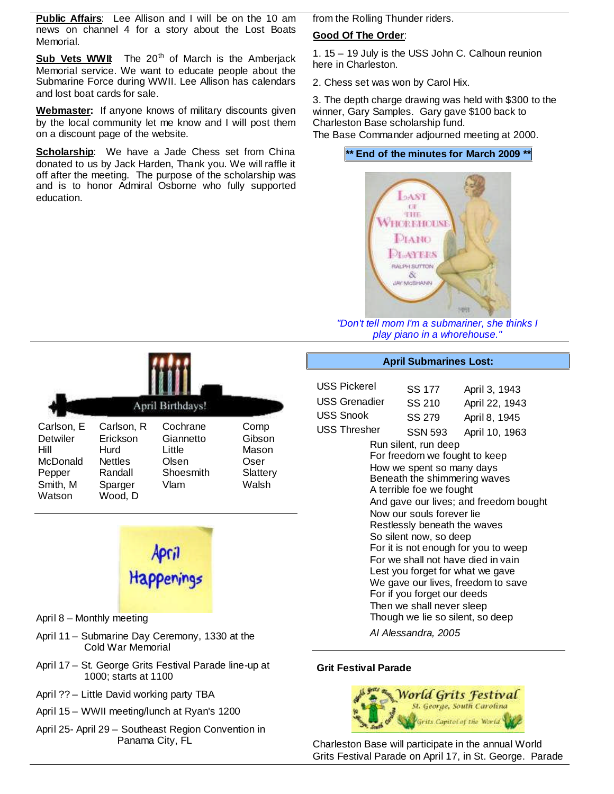**Public Affairs**: Lee Allison and I will be on the 10 am news on channel 4 for a story about the Lost Boats Memorial.

Sub Vets WWII: The 20<sup>th</sup> of March is the Amberjack Memorial service. We want to educate people about the Submarine Force during WWII. Lee Allison has calendars and lost boat cards for sale.

**Webmaster:** If anyone knows of military discounts given by the local community let me know and I will post them on a discount page of the website.

**Scholarship:** We have a Jade Chess set from China donated to us by Jack Harden, Thank you. We will raffle it off after the meeting. The purpose of the scholarship was and is to honor Admiral Osborne who fully supported education.

from the Rolling Thunder riders.

### **Good Of The Order**:

1. 15 – 19 July is the USS John C. Calhoun reunion here in Charleston.

2. Chess set was won by Carol Hix.

3. The depth charge drawing was held with \$300 to the winner, Gary Samples. Gary gave \$100 back to Charleston Base scholarship fund.

The Base Commander adjourned meeting at 2000.

## **\*\* End of the minutes for March 2009 \*\***



*"Don't tell mom I'm a submariner, she thinks I play piano in a whorehouse."*

|                                                                            |                                                                                   | April Birthdays!                                              |                                                      |
|----------------------------------------------------------------------------|-----------------------------------------------------------------------------------|---------------------------------------------------------------|------------------------------------------------------|
| Carlson, E<br>Detwiler<br>Hill<br>McDonald<br>Pepper<br>Smith, M<br>Watson | Carlson, R<br>Erickson<br>Hurd<br><b>Nettles</b><br>Randall<br>Sparger<br>Wood, D | Cochrane<br>Giannetto<br>Little<br>Olsen<br>Shoesmith<br>Vlam | Comp<br>Gibson<br>Mason<br>Oser<br>Slattery<br>Walsh |



- April 8 Monthly meeting
- April 11 Submarine Day Ceremony, 1330 at the Cold War Memorial
- April 17 St. George Grits Festival Parade line-up at 1000; starts at 1100
- April ?? Little David working party TBA
- April 15 WWII meeting/lunch at Ryan's 1200
- April 25- April 29 Southeast Region Convention in Panama City, FL

#### **April Submarines Lost:**

| USS Pickerel        | SS 177                                                                                                                                                                                                                                                                                                                                | April 3, 1943                                                                                                                                                                                  |  |
|---------------------|---------------------------------------------------------------------------------------------------------------------------------------------------------------------------------------------------------------------------------------------------------------------------------------------------------------------------------------|------------------------------------------------------------------------------------------------------------------------------------------------------------------------------------------------|--|
| USS Grenadier       | SS 210                                                                                                                                                                                                                                                                                                                                | April 22, 1943                                                                                                                                                                                 |  |
| USS Snook           | SS 279                                                                                                                                                                                                                                                                                                                                | April 8, 1945                                                                                                                                                                                  |  |
| <b>USS Thresher</b> | <b>SSN 593</b>                                                                                                                                                                                                                                                                                                                        | April 10, 1963                                                                                                                                                                                 |  |
|                     | Run silent, run deep<br>For freedom we fought to keep<br>How we spent so many days<br>Beneath the shimmering waves<br>A terrible foe we fought<br>Now our souls forever lie<br>Restlessly beneath the waves<br>So silent now, so deep<br>For if you forget our deeds<br>Then we shall never sleep<br>Though we lie so silent, so deep | And gave our lives; and freedom bought<br>For it is not enough for you to weep<br>For we shall not have died in vain<br>Lest you forget for what we gave<br>We gave our lives, freedom to save |  |

*Al Alessandra, 2005*

## **Grit Festival Parade**



Charleston Base will participate in the annual World Grits Festival Parade on April 17, in St. George. Parade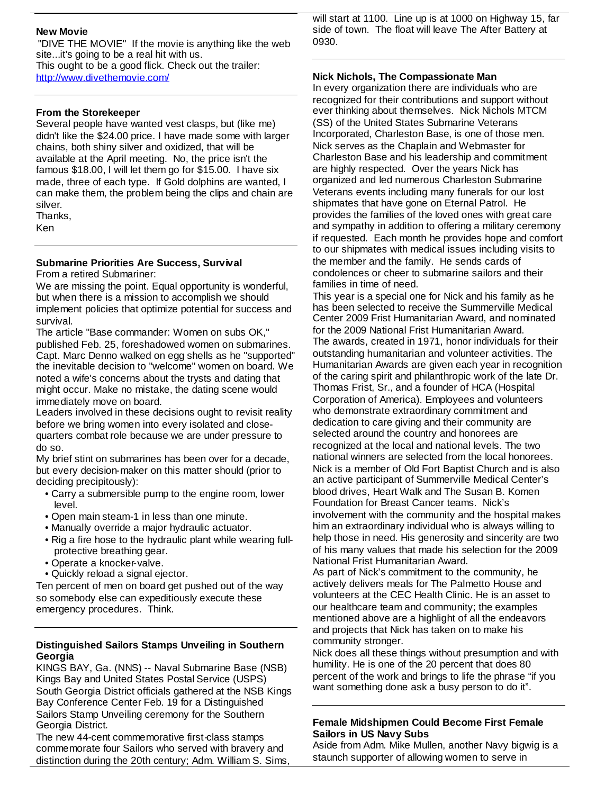## **New Movie**

"DIVE THE MOVIE" If the movie is anything like the web site...it's going to be a real hit with us. This ought to be a good flick. Check out the trailer: http://www.divethemovie.com/

### **From the Storekeeper**

Several people have wanted vest clasps, but (like me) didn't like the \$24.00 price. I have made some with larger chains, both shiny silver and oxidized, that will be available at the April meeting. No, the price isn't the famous \$18.00, I will let them go for \$15.00. I have six made, three of each type. If Gold dolphins are wanted, I can make them, the problem being the clips and chain are silver.

Thanks,

Ken

#### **Submarine Priorities Are Success, Survival** From a retired Submariner:

We are missing the point. Equal opportunity is wonderful, but when there is a mission to accomplish we should implement policies that optimize potential for success and survival.

The article "Base commander: Women on subs OK," published Feb. 25, foreshadowed women on submarines. Capt. Marc Denno walked on egg shells as he "supported" the inevitable decision to "welcome" women on board. We noted a wife's concerns about the trysts and dating that might occur. Make no mistake, the dating scene would immediately move on board.

Leaders involved in these decisions ought to revisit reality before we bring women into every isolated and closequarters combat role because we are under pressure to do so.

My brief stint on submarines has been over for a decade, but every decision-maker on this matter should (prior to deciding precipitously):

- Carry a submersible pump to the engine room, lower level.
- Open main steam-1 in less than one minute.
- Manually override a major hydraulic actuator.
- Rig a fire hose to the hydraulic plant while wearing fullprotective breathing gear.
- Operate a knocker-valve.
- Quickly reload a signal ejector.

Ten percent of men on board get pushed out of the way so somebody else can expeditiously execute these emergency procedures. Think.

### **Distinguished Sailors Stamps Unveiling in Southern Georgia**

KINGS BAY, Ga. (NNS) -- Naval Submarine Base (NSB) Kings Bay and United States Postal Service (USPS) South Georgia District officials gathered at the NSB Kings Bay Conference Center Feb. 19 for a Distinguished Sailors Stamp Unveiling ceremony for the Southern Georgia District.

The new 44-cent commemorative first-class stamps commemorate four Sailors who served with bravery and distinction during the 20th century; Adm. William S. Sims,

will start at 1100. Line up is at 1000 on Highway 15, far side of town. The float will leave The After Battery at 0930.

#### **Nick Nichols, The Compassionate Man**

In every organization there are individuals who are recognized for their contributions and support without ever thinking about themselves. Nick Nichols MTCM (SS) of the United States Submarine Veterans Incorporated, Charleston Base, is one of those men. Nick serves as the Chaplain and Webmaster for Charleston Base and his leadership and commitment are highly respected. Over the years Nick has organized and led numerous Charleston Submarine Veterans events including many funerals for our lost shipmates that have gone on Eternal Patrol. He provides the families of the loved ones with great care and sympathy in addition to offering a military ceremony if requested. Each month he provides hope and comfort to our shipmates with medical issues including visits to the member and the family. He sends cards of condolences or cheer to submarine sailors and their families in time of need.

This year is a special one for Nick and his family as he has been selected to receive the Summerville Medical Center 2009 Frist Humanitarian Award, and nominated for the 2009 National Frist Humanitarian Award. The awards, created in 1971, honor individuals for their outstanding humanitarian and volunteer activities. The Humanitarian Awards are given each year in recognition of the caring spirit and philanthropic work of the late Dr. Thomas Frist, Sr., and a founder of HCA (Hospital Corporation of America). Employees and volunteers who demonstrate extraordinary commitment and dedication to care giving and their community are selected around the country and honorees are recognized at the local and national levels. The two national winners are selected from the local honorees. Nick is a member of Old Fort Baptist Church and is also an active participant of Summerville Medical Center's blood drives, Heart Walk and The Susan B. Komen Foundation for Breast Cancer teams. Nick's involvement with the community and the hospital makes him an extraordinary individual who is always willing to help those in need. His generosity and sincerity are two of his many values that made his selection for the 2009 National Frist Humanitarian Award.

As part of Nick's commitment to the community, he actively delivers meals for The Palmetto House and volunteers at the CEC Health Clinic. He is an asset to our healthcare team and community; the examples mentioned above are a highlight of all the endeavors and projects that Nick has taken on to make his community stronger.

Nick does all these things without presumption and with humility. He is one of the 20 percent that does 80 percent of the work and brings to life the phrase "if you want something done ask a busy person to do it".

### **Female Midshipmen Could Become First Female Sailors in US Navy Subs**

Aside from Adm. Mike Mullen, another Navy bigwig is a staunch supporter of allowing women to serve in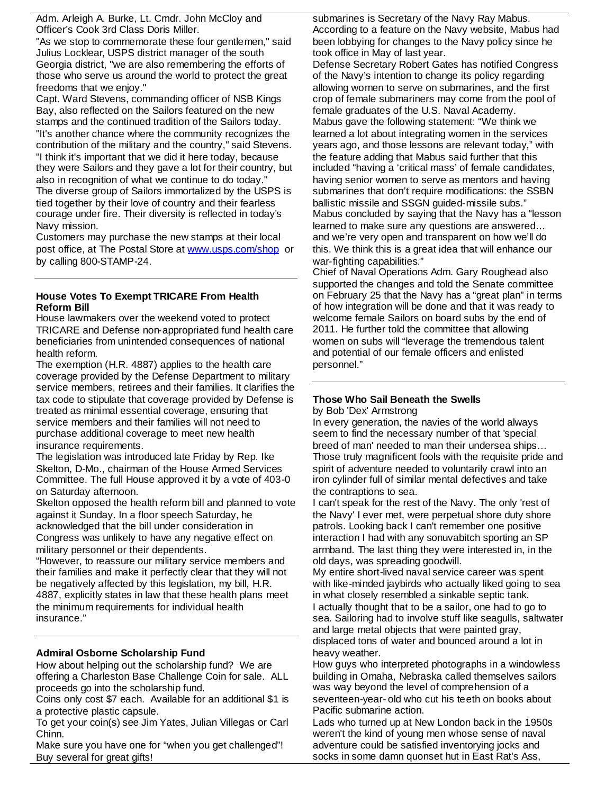Adm. Arleigh A. Burke, Lt. Cmdr. John McCloy and Officer's Cook 3rd Class Doris Miller.

"As we stop to commemorate these four gentlemen," said Julius Locklear, USPS district manager of the south Georgia district, "we are also remembering the efforts of those who serve us around the world to protect the great freedoms that we enjoy."

Capt. Ward Stevens, commanding officer of NSB Kings Bay, also reflected on the Sailors featured on the new stamps and the continued tradition of the Sailors today. "It's another chance where the community recognizes the contribution of the military and the country," said Stevens. "I think it's important that we did it here today, because they were Sailors and they gave a lot for their country, but also in recognition of what we continue to do today." The diverse group of Sailors immortalized by the USPS is tied together by their love of country and their fearless courage under fire. Their diversity is reflected in today's Navy mission.

Customers may purchase the new stamps at their local post office, at The Postal Store at www.usps.com/shop or by calling 800-STAMP-24.

#### **House Votes To Exempt TRICARE From Health Reform Bill**

House lawmakers over the weekend voted to protect TRICARE and Defense non-appropriated fund health care beneficiaries from unintended consequences of national health reform.

The exemption (H.R. 4887) applies to the health care coverage provided by the Defense Department to military service members, retirees and their families. It clarifies the tax code to stipulate that coverage provided by Defense is treated as minimal essential coverage, ensuring that service members and their families will not need to purchase additional coverage to meet new health insurance requirements.

The legislation was introduced late Friday by Rep. Ike Skelton, D-Mo., chairman of the House Armed Services Committee. The full House approved it by a vote of 403-0 on Saturday afternoon.

Skelton opposed the health reform bill and planned to vote against it Sunday. In a floor speech Saturday, he acknowledged that the bill under consideration in Congress was unlikely to have any negative effect on military personnel or their dependents.

"However, to reassure our military service members and their families and make it perfectly clear that they will not be negatively affected by this legislation, my bill, H.R. 4887, explicitly states in law that these health plans meet the minimum requirements for individual health insurance."

## **Admiral Osborne Scholarship Fund**

How about helping out the scholarship fund? We are offering a Charleston Base Challenge Coin for sale. ALL proceeds go into the scholarship fund.

Coins only cost \$7 each. Available for an additional \$1 is a protective plastic capsule.

To get your coin(s) see Jim Yates, Julian Villegas or Carl Chinn.

Make sure you have one for "when you get challenged"! Buy several for great gifts!

submarines is Secretary of the Navy Ray Mabus. According to a feature on the Navy website, Mabus had been lobbying for changes to the Navy policy since he took office in May of last year.

Defense Secretary Robert Gates has notified Congress of the Navy's intention to change its policy regarding allowing women to serve on submarines, and the first crop of female submariners may come from the pool of female graduates of the U.S. Naval Academy. Mabus gave the following statement: "We think we learned a lot about integrating women in the services years ago, and those lessons are relevant today," with the feature adding that Mabus said further that this included "having a 'critical mass' of female candidates, having senior women to serve as mentors and having submarines that don't require modifications: the SSBN ballistic missile and SSGN guided-missile subs." Mabus concluded by saying that the Navy has a "lesson learned to make sure any questions are answered… and we're very open and transparent on how we'll do this. We think this is a great idea that will enhance our war-fighting capabilities."

Chief of Naval Operations Adm. Gary Roughead also supported the changes and told the Senate committee on February 25 that the Navy has a "great plan" in terms of how integration will be done and that it was ready to welcome female Sailors on board subs by the end of 2011. He further told the committee that allowing women on subs will "leverage the tremendous talent and potential of our female officers and enlisted personnel."

# **Those Who Sail Beneath the Swells**

by Bob 'Dex' Armstrong

In every generation, the navies of the world always seem to find the necessary number of that 'special breed of man' needed to man their undersea ships… Those truly magnificent fools with the requisite pride and spirit of adventure needed to voluntarily crawl into an iron cylinder full of similar mental defectives and take the contraptions to sea.

I can't speak for the rest of the Navy. The only 'rest of the Navy' I ever met, were perpetual shore duty shore patrols. Looking back I can't remember one positive interaction I had with any sonuvabitch sporting an SP armband. The last thing they were interested in, in the old days, was spreading goodwill.

My entire short-lived naval service career was spent with like-minded jaybirds who actually liked going to sea in what closely resembled a sinkable septic tank. I actually thought that to be a sailor, one had to go to sea. Sailoring had to involve stuff like seagulls, saltwater and large metal objects that were painted gray, displaced tons of water and bounced around a lot in heavy weather.

How guys who interpreted photographs in a windowless building in Omaha, Nebraska called themselves sailors was way beyond the level of comprehension of a seventeen-year- old who cut his teeth on books about Pacific submarine action.

Lads who turned up at New London back in the 1950s weren't the kind of young men whose sense of naval adventure could be satisfied inventorying jocks and socks in some damn quonset hut in East Rat's Ass,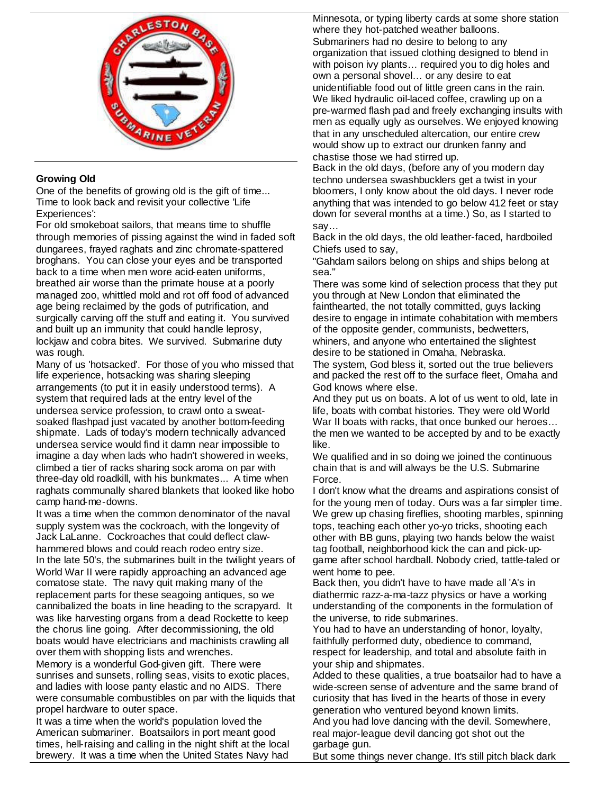

# **Growing Old**

One of the benefits of growing old is the gift of time... Time to look back and revisit your collective 'Life Experiences':

For old smokeboat sailors, that means time to shuffle through memories of pissing against the wind in faded soft dungarees, frayed raghats and zinc chromate-spattered broghans. You can close your eyes and be transported back to a time when men wore acid-eaten uniforms, breathed air worse than the primate house at a poorly managed zoo, whittled mold and rot off food of advanced age being reclaimed by the gods of putrification, and surgically carving off the stuff and eating it. You survived and built up an immunity that could handle leprosy, lockjaw and cobra bites. We survived. Submarine duty was rough.

Many of us 'hotsacked'. For those of you who missed that life experience, hotsacking was sharing sleeping arrangements (to put it in easily understood terms). A system that required lads at the entry level of the undersea service profession, to crawl onto a sweatsoaked flashpad just vacated by another bottom-feeding shipmate. Lads of today's modern technically advanced undersea service would find it damn near impossible to imagine a day when lads who hadn't showered in weeks, climbed a tier of racks sharing sock aroma on par with three-day old roadkill, with his bunkmates... A time when raghats communally shared blankets that looked like hobo camp hand-me-downs.

It was a time when the common denominator of the naval supply system was the cockroach, with the longevity of Jack LaLanne. Cockroaches that could deflect clawhammered blows and could reach rodeo entry size. In the late 50's, the submarines built in the twilight years of World War II were rapidly approaching an advanced age comatose state. The navy quit making many of the replacement parts for these seagoing antiques, so we cannibalized the boats in line heading to the scrapyard. It was like harvesting organs from a dead Rockette to keep the chorus line going. After decommissioning, the old boats would have electricians and machinists crawling all over them with shopping lists and wrenches.

Memory is a wonderful God-given gift. There were sunrises and sunsets, rolling seas, visits to exotic places, and ladies with loose panty elastic and no AIDS. There were consumable combustibles on par with the liquids that propel hardware to outer space.

It was a time when the world's population loved the American submariner. Boatsailors in port meant good times, hell-raising and calling in the night shift at the local brewery. It was a time when the United States Navy had

Minnesota, or typing liberty cards at some shore station where they hot-patched weather balloons. Submariners had no desire to belong to any organization that issued clothing designed to blend in with poison ivy plants… required you to dig holes and own a personal shovel… or any desire to eat unidentifiable food out of little green cans in the rain. We liked hydraulic oil-laced coffee, crawling up on a pre-warmed flash pad and freely exchanging insults with men as equally ugly as ourselves. We enjoyed knowing that in any unscheduled altercation, our entire crew would show up to extract our drunken fanny and chastise those we had stirred up.

Back in the old days, (before any of you modern day techno undersea swashbucklers get a twist in your bloomers, I only know about the old days. I never rode anything that was intended to go below 412 feet or stay down for several months at a time.) So, as I started to say…

Back in the old days, the old leather-faced, hardboiled Chiefs used to say,

"Gahdam sailors belong on ships and ships belong at sea."

There was some kind of selection process that they put you through at New London that eliminated the fainthearted, the not totally committed, guys lacking desire to engage in intimate cohabitation with members of the opposite gender, communists, bedwetters, whiners, and anyone who entertained the slightest desire to be stationed in Omaha, Nebraska.

The system, God bless it, sorted out the true believers and packed the rest off to the surface fleet, Omaha and God knows where else.

And they put us on boats. A lot of us went to old, late in life, boats with combat histories. They were old World War II boats with racks, that once bunked our heroes… the men we wanted to be accepted by and to be exactly like.

We qualified and in so doing we joined the continuous chain that is and will always be the U.S. Submarine Force.

I don't know what the dreams and aspirations consist of for the young men of today. Ours was a far simpler time. We grew up chasing fireflies, shooting marbles, spinning tops, teaching each other yo-yo tricks, shooting each other with BB guns, playing two hands below the waist tag football, neighborhood kick the can and pick-upgame after school hardball. Nobody cried, tattle-taled or went home to pee.

Back then, you didn't have to have made all 'A's in diathermic razz-a-ma-tazz physics or have a working understanding of the components in the formulation of the universe, to ride submarines.

You had to have an understanding of honor, loyalty, faithfully performed duty, obedience to command, respect for leadership, and total and absolute faith in your ship and shipmates.

Added to these qualities, a true boatsailor had to have a wide-screen sense of adventure and the same brand of curiosity that has lived in the hearts of those in every generation who ventured beyond known limits. And you had love dancing with the devil. Somewhere, real major-league devil dancing got shot out the

garbage gun. But some things never change. It's still pitch black dark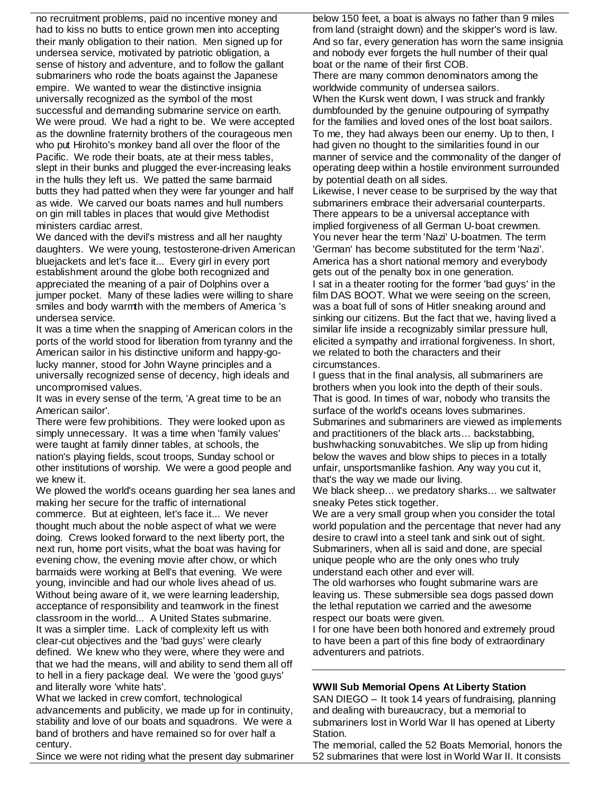no recruitment problems, paid no incentive money and had to kiss no butts to entice grown men into accepting their manly obligation to their nation. Men signed up for undersea service, motivated by patriotic obligation, a sense of history and adventure, and to follow the gallant submariners who rode the boats against the Japanese empire. We wanted to wear the distinctive insignia universally recognized as the symbol of the most successful and demanding submarine service on earth. We were proud. We had a right to be. We were accepted as the downline fraternity brothers of the courageous men who put Hirohito's monkey band all over the floor of the Pacific. We rode their boats, ate at their mess tables, slept in their bunks and plugged the ever-increasing leaks in the hulls they left us. We patted the same barmaid butts they had patted when they were far younger and half as wide. We carved our boats names and hull numbers on gin mill tables in places that would give Methodist ministers cardiac arrest.

We danced with the devil's mistress and all her naughty daughters. We were young, testosterone-driven American bluejackets and let's face it... Every girl in every port establishment around the globe both recognized and appreciated the meaning of a pair of Dolphins over a jumper pocket. Many of these ladies were willing to share smiles and body warmth with the members of America 's undersea service.

It was a time when the snapping of American colors in the ports of the world stood for liberation from tyranny and the American sailor in his distinctive uniform and happy-golucky manner, stood for John Wayne principles and a universally recognized sense of decency, high ideals and uncompromised values.

It was in every sense of the term, 'A great time to be an American sailor'.

There were few prohibitions. They were looked upon as simply unnecessary. It was a time when 'family values' were taught at family dinner tables, at schools, the nation's playing fields, scout troops, Sunday school or other institutions of worship. We were a good people and we knew it.

We plowed the world's oceans guarding her sea lanes and making her secure for the traffic of international commerce. But at eighteen, let's face it... We never thought much about the noble aspect of what we were doing. Crews looked forward to the next liberty port, the next run, home port visits, what the boat was having for evening chow, the evening movie after chow, or which barmaids were working at Bell's that evening. We were young, invincible and had our whole lives ahead of us. Without being aware of it, we were learning leadership, acceptance of responsibility and teamwork in the finest classroom in the world... A United States submarine. It was a simpler time. Lack of complexity left us with clear-cut objectives and the 'bad guys' were clearly defined. We knew who they were, where they were and that we had the means, will and ability to send them all off to hell in a fiery package deal. We were the 'good guys' and literally wore 'white hats'.

What we lacked in crew comfort, technological advancements and publicity, we made up for in continuity, stability and love of our boats and squadrons. We were a band of brothers and have remained so for over half a century.

Since we were not riding what the present day submariner

below 150 feet, a boat is always no father than 9 miles from land (straight down) and the skipper's word is law. And so far, every generation has worn the same insignia and nobody ever forgets the hull number of their qual boat or the name of their first COB.

There are many common denominators among the worldwide community of undersea sailors.

When the Kursk went down, I was struck and frankly dumbfounded by the genuine outpouring of sympathy for the families and loved ones of the lost boat sailors. To me, they had always been our enemy. Up to then, I had given no thought to the similarities found in our manner of service and the commonality of the danger of operating deep within a hostile environment surrounded by potential death on all sides.

Likewise, I never cease to be surprised by the way that submariners embrace their adversarial counterparts. There appears to be a universal acceptance with implied forgiveness of all German U-boat crewmen. You never hear the term 'Nazi' U-boatmen. The term 'German' has become substituted for the term 'Nazi'. America has a short national memory and everybody gets out of the penalty box in one generation. I sat in a theater rooting for the former 'bad guys' in the film DAS BOOT. What we were seeing on the screen, was a boat full of sons of Hitler sneaking around and sinking our citizens. But the fact that we, having lived a similar life inside a recognizably similar pressure hull, elicited a sympathy and irrational forgiveness. In short, we related to both the characters and their circumstances.

I guess that in the final analysis, all submariners are brothers when you look into the depth of their souls. That is good. In times of war, nobody who transits the surface of the world's oceans loves submarines. Submarines and submariners are viewed as implements and practitioners of the black arts… backstabbing, bushwhacking sonuvabitches. We slip up from hiding below the waves and blow ships to pieces in a totally unfair, unsportsmanlike fashion. Any way you cut it, that's the way we made our living.

We black sheep… we predatory sharks… we saltwater sneaky Petes stick together.

We are a very small group when you consider the total world population and the percentage that never had any desire to crawl into a steel tank and sink out of sight. Submariners, when all is said and done, are special unique people who are the only ones who truly understand each other and ever will.

The old warhorses who fought submarine wars are leaving us. These submersible sea dogs passed down the lethal reputation we carried and the awesome respect our boats were given.

I for one have been both honored and extremely proud to have been a part of this fine body of extraordinary adventurers and patriots.

## **WWII Sub Memorial Opens At Liberty Station**

SAN DIEGO -- It took 14 years of fundraising, planning and dealing with bureaucracy, but a memorial to submariners lost in World War II has opened at Liberty Station.

The memorial, called the 52 Boats Memorial, honors the 52 submarines that were lost in World War II. It consists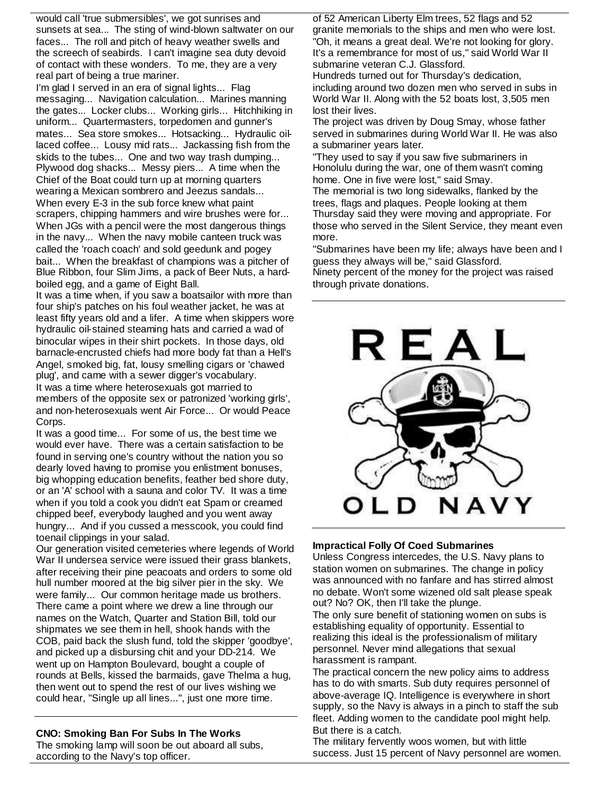would call 'true submersibles', we got sunrises and sunsets at sea... The sting of wind-blown saltwater on our faces... The roll and pitch of heavy weather swells and the screech of seabirds. I can't imagine sea duty devoid of contact with these wonders. To me, they are a very real part of being a true mariner.

I'm glad I served in an era of signal lights... Flag messaging... Navigation calculation... Marines manning the gates... Locker clubs... Working girls... Hitchhiking in uniform... Quartermasters, torpedomen and gunner's mates... Sea store smokes... Hotsacking... Hydraulic oillaced coffee... Lousy mid rats... Jackassing fish from the skids to the tubes... One and two way trash dumping... Plywood dog shacks... Messy piers... A time when the Chief of the Boat could turn up at morning quarters wearing a Mexican sombrero and Jeezus sandals... When every E-3 in the sub force knew what paint scrapers, chipping hammers and wire brushes were for... When JGs with a pencil were the most dangerous things in the navy... When the navy mobile canteen truck was called the 'roach coach' and sold geedunk and pogey bait... When the breakfast of champions was a pitcher of Blue Ribbon, four Slim Jims, a pack of Beer Nuts, a hardboiled egg, and a game of Eight Ball.

It was a time when, if you saw a boatsailor with more than four ship's patches on his foul weather jacket, he was at least fifty years old and a lifer. A time when skippers wore hydraulic oil-stained steaming hats and carried a wad of binocular wipes in their shirt pockets. In those days, old barnacle-encrusted chiefs had more body fat than a Hell's Angel, smoked big, fat, lousy smelling cigars or 'chawed plug', and came with a sewer digger's vocabulary. It was a time where heterosexuals got married to members of the opposite sex or patronized 'working girls', and non-heterosexuals went Air Force... Or would Peace Corps.

It was a good time... For some of us, the best time we would ever have. There was a certain satisfaction to be found in serving one's country without the nation you so dearly loved having to promise you enlistment bonuses, big whopping education benefits, feather bed shore duty, or an 'A' school with a sauna and color TV. It was a time when if you told a cook you didn't eat Spam or creamed chipped beef, everybody laughed and you went away hungry... And if you cussed a messcook, you could find toenail clippings in your salad.

Our generation visited cemeteries where legends of World War II undersea service were issued their grass blankets, after receiving their pine peacoats and orders to some old hull number moored at the big silver pier in the sky. We were family... Our common heritage made us brothers. There came a point where we drew a line through our names on the Watch, Quarter and Station Bill, told our shipmates we see them in hell, shook hands with the COB, paid back the slush fund, told the skipper 'goodbye', and picked up a disbursing chit and your DD-214. We went up on Hampton Boulevard, bought a couple of rounds at Bells, kissed the barmaids, gave Thelma a hug, then went out to spend the rest of our lives wishing we could hear, "Single up all lines...", just one more time.

## **CNO: Smoking Ban For Subs In The Works**

The smoking lamp will soon be out aboard all subs, according to the Navy's top officer.

of 52 American Liberty Elm trees, 52 flags and 52 granite memorials to the ships and men who were lost. "Oh, it means a great deal. We're not looking for glory. It's a remembrance for most of us," said World War II submarine veteran C.J. Glassford.

Hundreds turned out for Thursday's dedication, including around two dozen men who served in subs in World War II. Along with the 52 boats lost, 3,505 men lost their lives.

The project was driven by Doug Smay, whose father served in submarines during World War II. He was also a submariner years later.

"They used to say if you saw five submariners in Honolulu during the war, one of them wasn't coming home. One in five were lost," said Smay. The memorial is two long sidewalks, flanked by the trees, flags and plaques. People looking at them Thursday said they were moving and appropriate. For those who served in the Silent Service, they meant even more.

"Submarines have been my life; always have been and I guess they always will be," said Glassford. Ninety percent of the money for the project was raised through private donations.



## **Impractical Folly Of Coed Submarines**

Unless Congress intercedes, the U.S. Navy plans to station women on submarines. The change in policy was announced with no fanfare and has stirred almost no debate. Won't some wizened old salt please speak out? No? OK, then I'll take the plunge.

The only sure benefit of stationing women on subs is establishing equality of opportunity. Essential to realizing this ideal is the professionalism of military personnel. Never mind allegations that sexual harassment is rampant.

The practical concern the new policy aims to address has to do with smarts. Sub duty requires personnel of above-average IQ. Intelligence is everywhere in short supply, so the Navy is always in a pinch to staff the sub fleet. Adding women to the candidate pool might help. But there is a catch.

The military fervently woos women, but with little success. Just 15 percent of Navy personnel are women.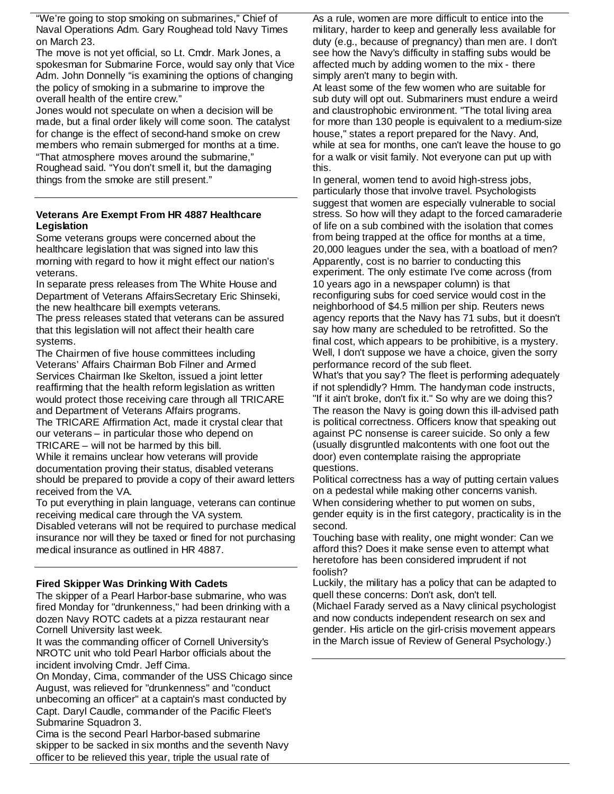"We're going to stop smoking on submarines," Chief of Naval Operations Adm. Gary Roughead told Navy Times on March 23.

The move is not yet official, so Lt. Cmdr. Mark Jones, a spokesman for Submarine Force, would say only that Vice Adm. John Donnelly "is examining the options of changing the policy of smoking in a submarine to improve the overall health of the entire crew."

Jones would not speculate on when a decision will be made, but a final order likely will come soon. The catalyst for change is the effect of second-hand smoke on crew members who remain submerged for months at a time. "That atmosphere moves around the submarine," Roughead said. "You don't smell it, but the damaging things from the smoke are still present."

### **Veterans Are Exempt From HR 4887 Healthcare Legislation**

Some veterans groups were concerned about the healthcare legislation that was signed into law this morning with regard to how it might effect our nation's veterans.

In separate press releases from The White House and Department of Veterans AffairsSecretary Eric Shinseki, the new healthcare bill exempts veterans.

The press releases stated that veterans can be assured that this legislation will not affect their health care systems.

The Chairmen of five house committees including Veterans' Affairs Chairman Bob Filner and Armed Services Chairman Ike Skelton, issued a joint letter reaffirming that the health reform legislation as written would protect those receiving care through all TRICARE and Department of Veterans Affairs programs.

The TRICARE Affirmation Act, made it crystal clear that our veterans – in particular those who depend on TRICARE – will not be harmed by this bill.

While it remains unclear how veterans will provide documentation proving their status, disabled veterans should be prepared to provide a copy of their award letters received from the VA.

To put everything in plain language, veterans can continue receiving medical care through the VA system.

Disabled veterans will not be required to purchase medical insurance nor will they be taxed or fined for not purchasing medical insurance as outlined in HR 4887.

## **Fired Skipper Was Drinking With Cadets**

The skipper of a Pearl Harbor-base submarine, who was fired Monday for "drunkenness," had been drinking with a dozen Navy ROTC cadets at a pizza restaurant near Cornell University last week.

It was the commanding officer of Cornell University's NROTC unit who told Pearl Harbor officials about the incident involving Cmdr. Jeff Cima.

On Monday, Cima, commander of the USS Chicago since August, was relieved for "drunkenness" and "conduct unbecoming an officer" at a captain's mast conducted by Capt. Daryl Caudle, commander of the Pacific Fleet's Submarine Squadron 3.

Cima is the second Pearl Harbor-based submarine skipper to be sacked in six months and the seventh Navy officer to be relieved this year, triple the usual rate of

As a rule, women are more difficult to entice into the military, harder to keep and generally less available for duty (e.g., because of pregnancy) than men are. I don't see how the Navy's difficulty in staffing subs would be affected much by adding women to the mix - there simply aren't many to begin with.

At least some of the few women who are suitable for sub duty will opt out. Submariners must endure a weird and claustrophobic environment. "The total living area for more than 130 people is equivalent to a medium-size house," states a report prepared for the Navy. And, while at sea for months, one can't leave the house to go for a walk or visit family. Not everyone can put up with this.

In general, women tend to avoid high-stress jobs, particularly those that involve travel. Psychologists suggest that women are especially vulnerable to social stress. So how will they adapt to the forced camaraderie of life on a sub combined with the isolation that comes from being trapped at the office for months at a time, 20,000 leagues under the sea, with a boatload of men? Apparently, cost is no barrier to conducting this experiment. The only estimate I've come across (from 10 years ago in a newspaper column) is that reconfiguring subs for coed service would cost in the neighborhood of \$4.5 million per ship. Reuters news agency reports that the Navy has 71 subs, but it doesn't say how many are scheduled to be retrofitted. So the final cost, which appears to be prohibitive, is a mystery. Well, I don't suppose we have a choice, given the sorry performance record of the sub fleet.

What's that you say? The fleet is performing adequately if not splendidly? Hmm. The handyman code instructs, "If it ain't broke, don't fix it." So why are we doing this? The reason the Navy is going down this ill-advised path is political correctness. Officers know that speaking out against PC nonsense is career suicide. So only a few (usually disgruntled malcontents with one foot out the door) even contemplate raising the appropriate questions.

Political correctness has a way of putting certain values on a pedestal while making other concerns vanish. When considering whether to put women on subs, gender equity is in the first category, practicality is in the second.

Touching base with reality, one might wonder: Can we afford this? Does it make sense even to attempt what heretofore has been considered imprudent if not foolish?

Luckily, the military has a policy that can be adapted to quell these concerns: Don't ask, don't tell. (Michael Farady served as a Navy clinical psychologist and now conducts independent research on sex and gender. His article on the girl-crisis movement appears in the March issue of Review of General Psychology.)